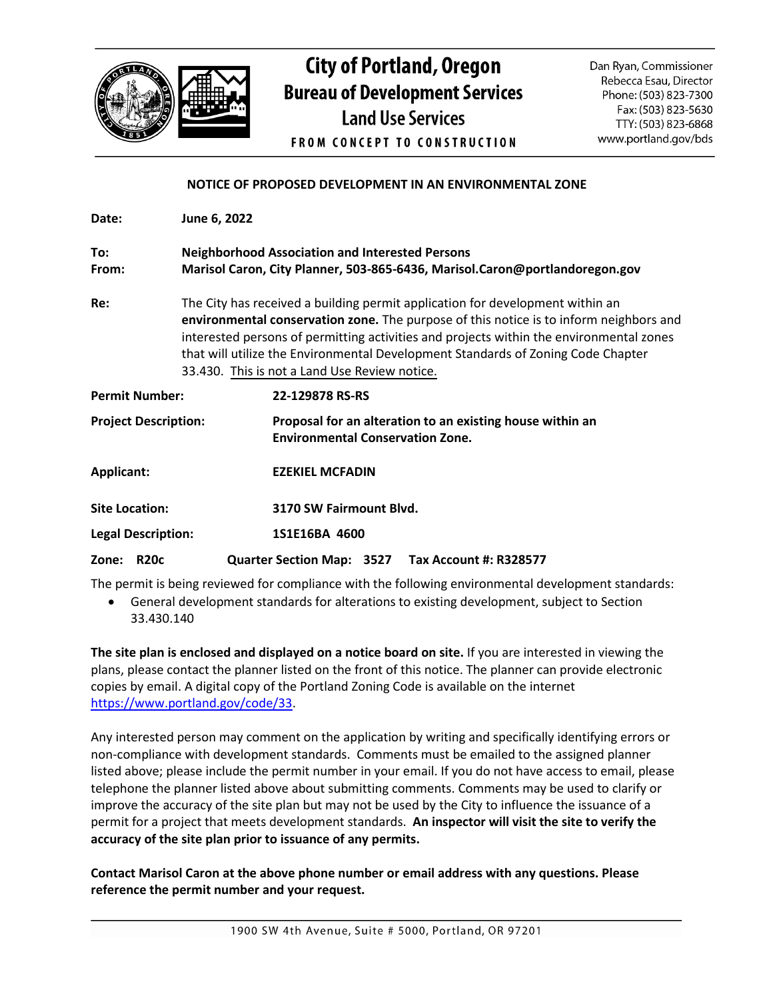

## **City of Portland, Oregon Bureau of Development Services Land Use Services FROM CONCEPT TO CONSTRUCTION**

Dan Ryan, Commissioner Rebecca Esau, Director Phone: (503) 823-7300 Fax: (503) 823-5630 TTY: (503) 823-6868 www.portland.gov/bds

## **NOTICE OF PROPOSED DEVELOPMENT IN AN ENVIRONMENTAL ZONE**

| Date:                       | June 6, 2022 |                                                                                                                                                                                                                                                                                                                                                                                                         |  |
|-----------------------------|--------------|---------------------------------------------------------------------------------------------------------------------------------------------------------------------------------------------------------------------------------------------------------------------------------------------------------------------------------------------------------------------------------------------------------|--|
| To:<br>From:                |              | <b>Neighborhood Association and Interested Persons</b><br>Marisol Caron, City Planner, 503-865-6436, Marisol.Caron@portlandoregon.gov                                                                                                                                                                                                                                                                   |  |
| Re:                         |              | The City has received a building permit application for development within an<br>environmental conservation zone. The purpose of this notice is to inform neighbors and<br>interested persons of permitting activities and projects within the environmental zones<br>that will utilize the Environmental Development Standards of Zoning Code Chapter<br>33.430. This is not a Land Use Review notice. |  |
| <b>Permit Number:</b>       |              | 22-129878 RS-RS                                                                                                                                                                                                                                                                                                                                                                                         |  |
| <b>Project Description:</b> |              | Proposal for an alteration to an existing house within an<br><b>Environmental Conservation Zone.</b>                                                                                                                                                                                                                                                                                                    |  |
| Applicant:                  |              | <b>EZEKIEL MCFADIN</b>                                                                                                                                                                                                                                                                                                                                                                                  |  |
| <b>Site Location:</b>       |              | 3170 SW Fairmount Blvd.                                                                                                                                                                                                                                                                                                                                                                                 |  |
| <b>Legal Description:</b>   |              | 1S1E16BA 4600                                                                                                                                                                                                                                                                                                                                                                                           |  |
| <b>R20c</b><br>Zone:        |              | Quarter Section Map: 3527  Tax Account #: R328577                                                                                                                                                                                                                                                                                                                                                       |  |

The permit is being reviewed for compliance with the following environmental development standards:

• General development standards for alterations to existing development, subject to Section 33.430.140

**The site plan is enclosed and displayed on a notice board on site.** If you are interested in viewing the plans, please contact the planner listed on the front of this notice. The planner can provide electronic copies by email. A digital copy of the Portland Zoning Code is available on the internet [https://www.portland.gov/code/33.](https://www.portland.gov/code/33)

Any interested person may comment on the application by writing and specifically identifying errors or non-compliance with development standards. Comments must be emailed to the assigned planner listed above; please include the permit number in your email. If you do not have access to email, please telephone the planner listed above about submitting comments. Comments may be used to clarify or improve the accuracy of the site plan but may not be used by the City to influence the issuance of a permit for a project that meets development standards. **An inspector will visit the site to verify the accuracy of the site plan prior to issuance of any permits.**

**Contact Marisol Caron at the above phone number or email address with any questions. Please reference the permit number and your request.**